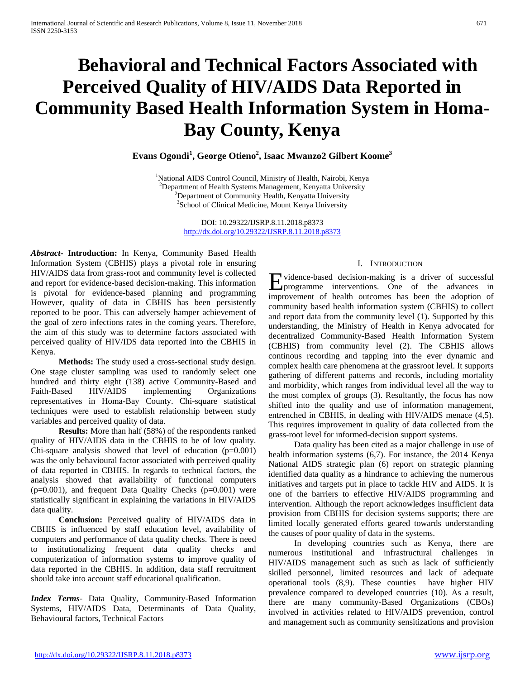# **Behavioral and Technical Factors Associated with Perceived Quality of HIV/AIDS Data Reported in Community Based Health Information System in Homa-Bay County, Kenya**

**Evans Ogondi<sup>1</sup> , George Otieno<sup>2</sup> , Isaac Mwanzo2 Gilbert Koome3**

<sup>1</sup>National AIDS Control Council, Ministry of Health, Nairobi, Kenya<br><sup>2</sup>Department of Health Systems Management, Kenyatta University <sup>2</sup>Department of Health Systems Management, Kenyatta University <sup>2</sup>Department of Community Health, Kenyatta University <sup>3</sup>School of Clinical Medicine, Mount Kenya University

> DOI: 10.29322/IJSRP.8.11.2018.p8373 <http://dx.doi.org/10.29322/IJSRP.8.11.2018.p8373>

*Abstract***- Introduction:** In Kenya, Community Based Health Information System (CBHIS) plays a pivotal role in ensuring HIV/AIDS data from grass-root and community level is collected and report for evidence-based decision-making. This information is pivotal for evidence-based planning and programming However, quality of data in CBHIS has been persistently reported to be poor. This can adversely hamper achievement of the goal of zero infections rates in the coming years. Therefore, the aim of this study was to determine factors associated with perceived quality of HIV/IDS data reported into the CBHIS in Kenya.

 **Methods:** The study used a cross-sectional study design. One stage cluster sampling was used to randomly select one hundred and thirty eight (138) active Community-Based and Faith-Based HIV/AIDS implementing Organizations representatives in Homa-Bay County. Chi-square statistical techniques were used to establish relationship between study variables and perceived quality of data.

 **Results:** More than half (58%) of the respondents ranked quality of HIV/AIDS data in the CBHIS to be of low quality. Chi-square analysis showed that level of education  $(p=0.001)$ was the only behavioural factor associated with perceived quality of data reported in CBHIS. In regards to technical factors, the analysis showed that availability of functional computers  $(p=0.001)$ , and frequent Data Quality Checks  $(p=0.001)$  were statistically significant in explaining the variations in HIV/AIDS data quality.

 **Conclusion:** Perceived quality of HIV/AIDS data in CBHIS is influenced by staff education level, availability of computers and performance of data quality checks. There is need to institutionalizing frequent data quality checks and computerization of information systems to improve quality of data reported in the CBHIS. In addition, data staff recruitment should take into account staff educational qualification.

*Index Terms*- Data Quality, Community-Based Information Systems, HIV/AIDS Data, Determinants of Data Quality, Behavioural factors, Technical Factors

# I. INTRODUCTION

vidence-based decision-making is a driver of successful Evidence-based decision-making is a driver of successful<br>programme interventions. One of the advances in improvement of health outcomes has been the adoption of community based health information system (CBHIS) to collect and report data from the community level (1). Supported by this understanding, the Ministry of Health in Kenya advocated for decentralized Community-Based Health Information System (CBHIS) from community level (2). The CBHIS allows continous recording and tapping into the ever dynamic and complex health care phenomena at the grassroot level. It supports gathering of different patterns and records, including mortality and morbidity, which ranges from individual level all the way to the most complex of groups (3). Resultantly, the focus has now shifted into the quality and use of information management, entrenched in CBHIS, in dealing with HIV/AIDS menace (4,5). This requires improvement in quality of data collected from the grass-root level for informed-decision support systems.

 Data quality has been cited as a major challenge in use of health information systems (6,7). For instance, the 2014 Kenya National AIDS strategic plan (6) report on strategic planning identified data quality as a hindrance to achieving the numerous initiatives and targets put in place to tackle HIV and AIDS. It is one of the barriers to effective HIV/AIDS programming and intervention. Although the report acknowledges insufficient data provision from CBHIS for decision systems supports; there are limited locally generated efforts geared towards understanding the causes of poor quality of data in the systems.

 In developing countries such as Kenya, there are numerous institutional and infrastructural challenges in HIV/AIDS management such as such as lack of sufficiently skilled personnel, limited resources and lack of adequate operational tools (8,9). These counties have higher HIV prevalence compared to developed countries (10). As a result, there are many community-Based Organizations (CBOs) involved in activities related to HIV/AIDS prevention, control and management such as community sensitizations and provision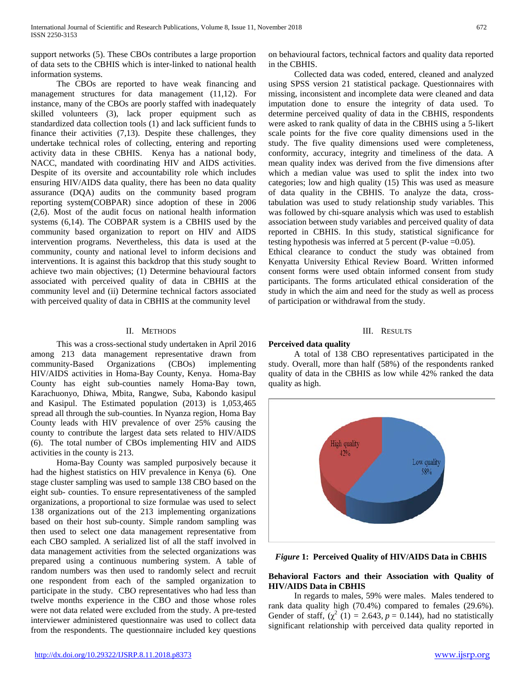support networks (5). These CBOs contributes a large proportion of data sets to the CBHIS which is inter-linked to national health information systems.

 The CBOs are reported to have weak financing and management structures for data management (11,12). For instance, many of the CBOs are poorly staffed with inadequately skilled volunteers (3), lack proper equipment such as standardized data collection tools (1) and lack sufficient funds to finance their activities (7,13). Despite these challenges, they undertake technical roles of collecting, entering and reporting activity data in these CBHIS. Kenya has a national body, NACC, mandated with coordinating HIV and AIDS activities. Despite of its oversite and accountability role which includes ensuring HIV/AIDS data quality, there has been no data quality assurance (DQA) audits on the community based program reporting system(COBPAR) since adoption of these in 2006 (2,6). Most of the audit focus on national health information systems (6,14). The COBPAR system is a CBHIS used by the community based organization to report on HIV and AIDS intervention programs. Nevertheless, this data is used at the community, county and national level to inform decisions and interventions. It is against this backdrop that this study sought to achieve two main objectives; (1) Determine behavioural factors associated with perceived quality of data in CBHIS at the community level and (ii) Determine technical factors associated with perceived quality of data in CBHIS at the community level

## II. METHODS

 This was a cross-sectional study undertaken in April 2016 among 213 data management representative drawn from community-Based Organizations (CBOs) implementing HIV/AIDS activities in Homa-Bay County, Kenya. Homa-Bay County has eight sub-counties namely Homa-Bay town, Karachuonyo, Dhiwa, Mbita, Rangwe, Suba, Kabondo kasipul and Kasipul. The Estimated population (2013) is 1,053,465 spread all through the sub-counties. In Nyanza region, Homa Bay County leads with HIV prevalence of over 25% causing the county to contribute the largest data sets related to HIV/AIDS (6). The total number of CBOs implementing HIV and AIDS activities in the county is 213.

 Homa-Bay County was sampled purposively because it had the highest statistics on HIV prevalence in Kenya (6). One stage cluster sampling was used to sample 138 CBO based on the eight sub- counties. To ensure representativeness of the sampled organizations, a proportional to size formulae was used to select 138 organizations out of the 213 implementing organizations based on their host sub-county. Simple random sampling was then used to select one data management representative from each CBO sampled. A serialized list of all the staff involved in data management activities from the selected organizations was prepared using a continuous numbering system. A table of random numbers was then used to randomly select and recruit one respondent from each of the sampled organization to participate in the study. CBO representatives who had less than twelve months experience in the CBO and those whose roles were not data related were excluded from the study. A pre-tested interviewer administered questionnaire was used to collect data from the respondents. The questionnaire included key questions

on behavioural factors, technical factors and quality data reported in the CBHIS.

 Collected data was coded, entered, cleaned and analyzed using SPSS version 21 statistical package. Questionnaires with missing, inconsistent and incomplete data were cleaned and data imputation done to ensure the integrity of data used. To determine perceived quality of data in the CBHIS, respondents were asked to rank quality of data in the CBHIS using a 5-likert scale points for the five core quality dimensions used in the study. The five quality dimensions used were completeness, conformity, accuracy, integrity and timeliness of the data. A mean quality index was derived from the five dimensions after which a median value was used to split the index into two categories; low and high quality (15) This was used as measure of data quality in the CBHIS. To analyze the data, crosstabulation was used to study relationship study variables. This was followed by chi-square analysis which was used to establish association between study variables and perceived quality of data reported in CBHIS. In this study, statistical significance for testing hypothesis was inferred at 5 percent (P-value  $=0.05$ ).

Ethical clearance to conduct the study was obtained from Kenyatta University Ethical Review Board. Written informed consent forms were used obtain informed consent from study participants. The forms articulated ethical consideration of the study in which the aim and need for the study as well as process of participation or withdrawal from the study.

## III. RESULTS

# **Perceived data quality**

 A total of 138 CBO representatives participated in the study. Overall, more than half (58%) of the respondents ranked quality of data in the CBHIS as low while 42% ranked the data quality as high.



*Figure* **1: Perceived Quality of HIV/AIDS Data in CBHIS**

# **Behavioral Factors and their Association with Quality of HIV/AIDS Data in CBHIS**

 In regards to males, 59% were males. Males tendered to rank data quality high (70.4%) compared to females (29.6%). Gender of staff,  $(\chi^2(1) = 2.643, p = 0.144)$ , had no statistically significant relationship with perceived data quality reported in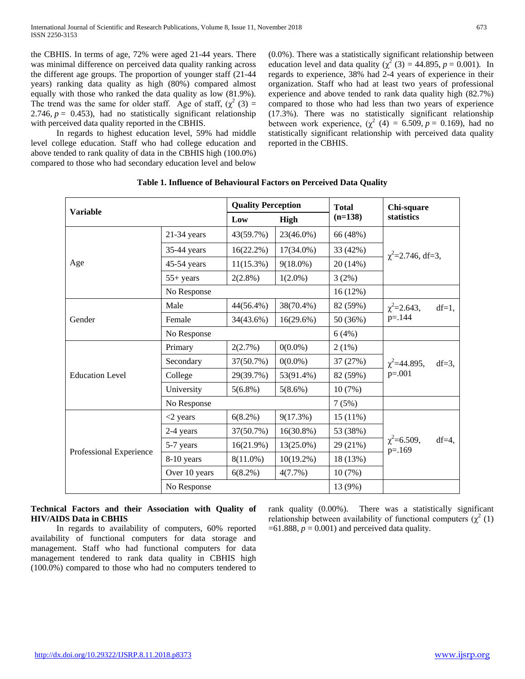the CBHIS. In terms of age, 72% were aged 21-44 years. There was minimal difference on perceived data quality ranking across the different age groups. The proportion of younger staff (21-44 years) ranking data quality as high (80%) compared almost equally with those who ranked the data quality as low (81.9%). The trend was the same for older staff. Age of staff,  $(\chi^2(3) =$ 2.746,  $p = 0.453$ ), had no statistically significant relationship with perceived data quality reported in the CBHIS.

 In regards to highest education level, 59% had middle level college education. Staff who had college education and above tended to rank quality of data in the CBHIS high (100.0%) compared to those who had secondary education level and below (0.0%). There was a statistically significant relationship between education level and data quality  $(\chi^2(3) = 44.895, p = 0.001)$ . In regards to experience, 38% had 2-4 years of experience in their organization. Staff who had at least two years of professional experience and above tended to rank data quality high (82.7%) compared to those who had less than two years of experience (17.3%). There was no statistically significant relationship between work experience, ( $\chi^2$  (4) = 6.509, *p* = 0.169), had no statistically significant relationship with perceived data quality reported in the CBHIS.

| <b>Variable</b>         |               | <b>Quality Perception</b> |              | <b>Total</b> | Chi-square                                  |
|-------------------------|---------------|---------------------------|--------------|--------------|---------------------------------------------|
|                         |               | Low                       | <b>High</b>  | $(n=138)$    | statistics                                  |
| Age                     | $21-34$ years | 43(59.7%)                 | 23(46.0%)    | 66 (48%)     | $\chi^2$ =2.746, df=3,                      |
|                         | 35-44 years   | 16(22.2%)                 | 17(34.0%)    | 33 (42%)     |                                             |
|                         | $45-54$ years | $11(15.3\%)$              | $9(18.0\%)$  | 20 (14%)     |                                             |
|                         | $55+$ years   | $2(2.8\%)$                | $1(2.0\%)$   | 3(2%)        |                                             |
|                         | No Response   |                           |              | 16(12%)      |                                             |
| Gender                  | Male          | 44(56.4%)                 | 38(70.4%)    | 82 (59%)     | $\chi^2 = 2.643$ ,<br>$df=1$ ,<br>$p = 144$ |
|                         | Female        | 34(43.6%)                 | 16(29.6%)    | 50 (36%)     |                                             |
|                         | No Response   |                           |              | 6(4%)        |                                             |
| <b>Education Level</b>  | Primary       | 2(2.7%)                   | $0(0.0\%)$   | 2(1%)        | $\chi^2$ = 44.895,<br>$df=3$ ,<br>$p=.001$  |
|                         | Secondary     | 37(50.7%)                 | $0(0.0\%)$   | 37 (27%)     |                                             |
|                         | College       | 29(39.7%)                 | 53(91.4%)    | 82 (59%)     |                                             |
|                         | University    | $5(6.8\%)$                | $5(8.6\%)$   | 10(7%)       |                                             |
|                         | No Response   |                           |              | 7(5%)        |                                             |
| Professional Experience | $<$ 2 years   | 6(8.2%)                   | 9(17.3%)     | 15(11%)      |                                             |
|                         | 2-4 years     | 37(50.7%)                 | $16(30.8\%)$ | 53 (38%)     |                                             |
|                         | 5-7 years     | 16(21.9%)                 | 13(25.0%)    | 29 (21%)     | $\chi^2 = 6.509$ ,<br>$df=4$ ,<br>$p = 169$ |
|                         | 8-10 years    | $8(11.0\%)$               | $10(19.2\%)$ | 18 (13%)     |                                             |
|                         | Over 10 years | 6(8.2%)                   | 4(7.7%)      | 10(7%)       |                                             |
|                         | No Response   |                           |              | 13 (9%)      |                                             |

# **Technical Factors and their Association with Quality of HIV/AIDS Data in CBHIS**

 In regards to availability of computers, 60% reported availability of functional computers for data storage and management. Staff who had functional computers for data management tendered to rank data quality in CBHIS high (100.0%) compared to those who had no computers tendered to

rank quality (0.00%). There was a statistically significant relationship between availability of functional computers  $(\chi^2(1))$  $=61.888$ ,  $p = 0.001$ ) and perceived data quality.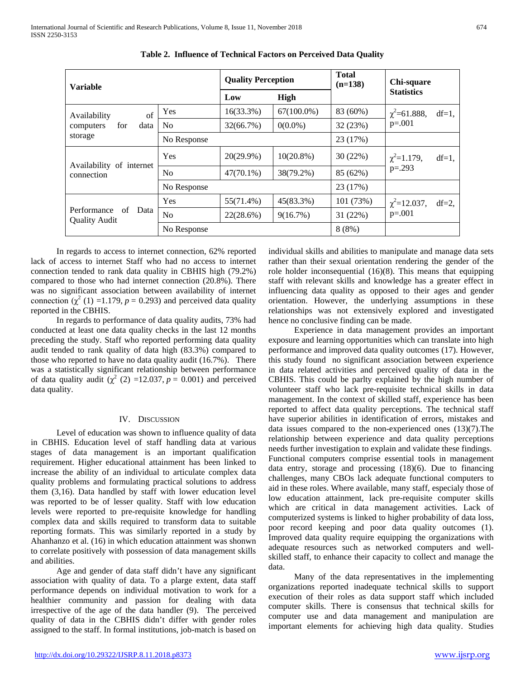| <b>Variable</b>                                           |                | <b>Quality Perception</b> |               | <b>Total</b><br>$(n=138)$ | Chi-square                    |
|-----------------------------------------------------------|----------------|---------------------------|---------------|---------------------------|-------------------------------|
|                                                           |                | Low                       | <b>High</b>   |                           | <b>Statistics</b>             |
| of<br>Availability<br>data<br>computers<br>for<br>storage | Yes            | 16(33.3%)                 | $67(100.0\%)$ | 83 (60%)                  | $\chi^2$ =61.888,<br>$df=1$ , |
|                                                           | N <sub>0</sub> | 32(66.7%)                 | $0(0.0\%)$    | 32 (23%)                  | $p=.001$                      |
|                                                           | No Response    |                           |               | 23 (17%)                  |                               |
| Availability of internet<br>connection                    | Yes            | $20(29.9\%)$              | $10(20.8\%)$  | 30(22%)                   | $\chi^2$ =1.179,<br>$df=1$ ,  |
|                                                           | N <sub>0</sub> | $47(70.1\%)$              | 38(79.2%)     | 85 (62%)                  | $p = 0.293$                   |
|                                                           | No Response    |                           |               | 23 (17%)                  |                               |
| Performance<br>of Data<br><b>Quality Audit</b>            | Yes            | 55(71.4%)                 | 45(83.3%)     | 101 (73%)                 | $\chi^2$ =12.037,<br>$df=2$ , |
|                                                           | N <sub>o</sub> | 22(28.6%)                 | 9(16.7%)      | 31(22%)                   | $p=.001$                      |
|                                                           | No Response    |                           |               | 8(8%)                     |                               |

**Table 2. Influence of Technical Factors on Perceived Data Quality**

 In regards to access to internet connection, 62% reported lack of access to internet Staff who had no access to internet connection tended to rank data quality in CBHIS high (79.2%) compared to those who had internet connection (20.8%). There was no significant association between availability of internet connection  $(\chi^2(1) = 1.179, p = 0.293)$  and perceived data quality reported in the CBHIS.

 In regards to performance of data quality audits, 73% had conducted at least one data quality checks in the last 12 months preceding the study. Staff who reported performing data quality audit tended to rank quality of data high (83.3%) compared to those who reported to have no data quality audit (16.7%). There was a statistically significant relationship between performance of data quality audit  $(\chi^2$  (2) =12.037,  $p = 0.001$ ) and perceived data quality.

# IV. DISCUSSION

 Level of education was shown to influence quality of data in CBHIS. Education level of staff handling data at various stages of data management is an important qualification requirement. Higher educational attainment has been linked to increase the ability of an individual to articulate complex data quality problems and formulating practical solutions to address them (3,16). Data handled by staff with lower education level was reported to be of lesser quality. Staff with low education levels were reported to pre-requisite knowledge for handling complex data and skills required to transform data to suitable reporting formats. This was similarly reported in a study by Ahanhanzo et al. (16) in which education attainment was shonwn to correlate positively with possession of data management skills and abilities.

 Age and gender of data staff didn't have any significant association with quality of data. To a plarge extent, data staff performance depends on individual motivation to work for a healthier community and passion for dealing with data irrespective of the age of the data handler (9). The perceived quality of data in the CBHIS didn't differ with gender roles assigned to the staff. In formal institutions, job-match is based on individual skills and abilities to manipulate and manage data sets rather than their sexual orientation rendering the gender of the role holder inconsequential (16)(8). This means that equipping staff with relevant skills and knowledge has a greater effect in influencing data quality as opposed to their ages and gender orientation. However, the underlying assumptions in these relationships was not extensively explored and investigated hence no conclusive finding can be made.

 Experience in data management provides an important exposure and learning opportunities which can translate into high performance and improved data quality outcomes (17). However, this study found no significant association between experience in data related activities and perceived quality of data in the CBHIS. This could be parlty explained by the high number of volunteer staff who lack pre-requisite technical skills in data management. In the context of skilled staff, experience has been reported to affect data quality perceptions. The technical staff have superior abilities in identification of errors, mistakes and data issues compared to the non-experienced ones (13)(7).The relationship between experience and data quality perceptions needs further investigation to explain and validate these findings. Functional computers comprise essential tools in management data entry, storage and processing (18)(6). Due to financing challenges, many CBOs lack adequate functional computers to aid in these roles. Where available, many staff, especialy those of low education attainment, lack pre-requisite computer skills which are critical in data management activities. Lack of computerized systems is linked to higher probability of data loss, poor record keeping and poor data quality outcomes (1). Improved data quality require equipping the organizations with adequate resources such as networked computers and wellskilled staff, to enhance their capacity to collect and manage the data.

 Many of the data representatives in the implementing organizations reported inadequate technical skills to support execution of their roles as data support staff which included computer skills. There is consensus that technical skills for computer use and data management and manipulation are important elements for achieving high data quality. Studies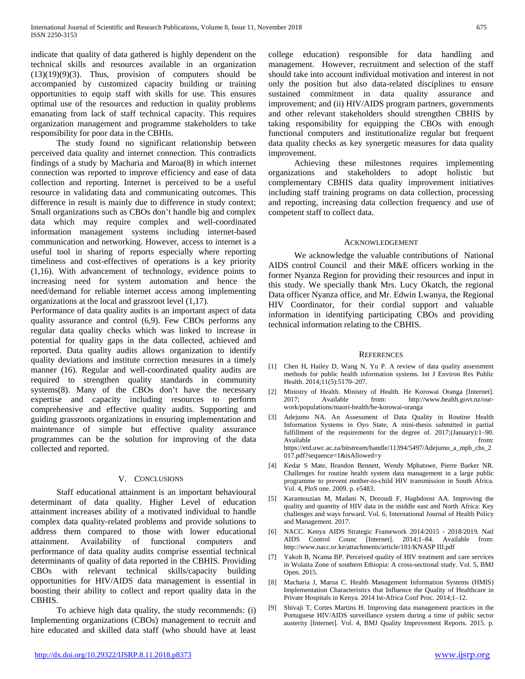indicate that quality of data gathered is highly dependent on the technical skills and resources available in an organization  $(13)(19)(9)(3)$ . Thus, provision of computers should be accompanied by customized capacity building or training opportunities to equip staff with skills for use. This ensures optimal use of the resources and reduction in quality problems emanating from lack of staff technical capacity. This requires organization management and programme stakeholders to take responsibility for poor data in the CBHIs.

 The study found no significant relationship between perceived data quality and internet connection. This contradicts findings of a study by Macharia and Maroa(8) in which internet connection was reported to improve efficiency and ease of data collection and reporting. Internet is perceived to be a useful resource in validating data and communicating outcomes. This difference in result is mainly due to difference in study context; Small organizations such as CBOs don't handle big and complex data which may require complex and well-coordinated information management systems including internet-based communication and networking. However, access to internet is a useful tool in sharing of reports especially where reporting timeliness and cost-effectives of operations is a key priority (1,16). With advancement of technology, evidence points to increasing need for system automation and hence the need/demand for reliable internet access among implementing organizations at the local and grassroot level (1,17).

Performance of data quality audits is an important aspect of data quality assurance and control (6,9). Few CBOs performs any regular data quality checks which was linked to increase in potential for quality gaps in the data collected, achieved and reported. Data quality audits allows organization to identify quality deviations and institute correction measures in a timely manner (16). Regular and well-coordinated quality audits are required to strengthen quality standards in community systems(8). Many of the CBOs don't have the necessary expertise and capacity including resources to perform comprehensive and effective quality audits. Supporting and guiding grassroots organizations in ensuring implementation and maintenance of simple but effective quality assurance programmes can be the solution for improving of the data collected and reported.

# V. CONCLUSIONS

 Staff educational attainment is an important behavioural determinant of data quality. Higher Level of education attainment increases ability of a motivated individual to handle complex data quality-related problems and provide solutions to address them compared to those with lower educational attainment. Availability of functional computers and performance of data quality audits comprise essential technical determinants of quality of data reported in the CBHIS. Providing CBOs with relevant technical skills/capacity building opportunities for HIV/AIDS data management is essential in boosting their ability to collect and report quality data in the CBHIS.

 To achieve high data quality, the study recommends: (i) Implementing organizations (CBOs) management to recruit and hire educated and skilled data staff (who should have at least college education) responsible for data handling and management. However, recruitment and selection of the staff should take into account individual motivation and interest in not only the position but also data-related disciplines to ensure sustained commitment in data quality assurance and improvement; and (ii) HIV/AIDS program partners, governments and other relevant stakeholders should strengthen CBHIS by taking responsibility for equipping the CBOs with enough functional computers and institutionalize regular but frequent data quality checks as key synergetic measures for data quality improvement.

 Achieving these milestones requires implementing organizations and stakeholders to adopt holistic but complementary CBHIS data quality improvement initiatives including staff training programs on data collection, processing and reporting, increasing data collection frequency and use of competent staff to collect data.

## ACKNOWLEDGEMENT

 We acknowledge the valuable contributions of National AIDS control Council and their M&E officers working in the former Nyanza Region for providing their resources and input in this study. We specially thank Mrs. Lucy Okatch, the regional Data officer Nyanza office, and Mr. Edwin Lwanya, the Regional HIV Coordinator, for their cordial support and valuable information in identifying participating CBOs and providing technical information relating to the CBHIS.

### **REFERENCES**

- [1] Chen H, Hailey D, Wang N, Yu P. A review of data quality assessment methods for public health information systems. Int J Environ Res Public Health. 2014;11(5):5170–207.
- [2] Ministry of Health. Ministry of Health. He Korowai Oranga [Internet]. 2017; Available from: http://www.health.govt.nz/ourwork/populations/maori-health/he-korowai-oranga
- [3] Adejumo NA. An Assessment of Data Quality in Routine Health Information Systems in Oyo State, A mini-thesis submitted in partial fulfillment of the requirements for the degree of. 2017;(January):1–90. Available from: https://etd.uwc.ac.za/bitstream/handle/11394/5497/Adejumo\_a\_mph\_chs\_2 017.pdf?sequence=1&isAllowed=y
- [4] Kedar S Mate, Brandon Bennett, Wendy Mphatswe, Pierre Barker NR. Challenges for routine health system data management in a large public programme to prevent mother-to-child HIV transmission in South Africa. Vol. 4, PloS one. 2009. p. e5483.
- [5] Karamouzian M, Madani N, Doroudi F, Haghdoost AA. Improving the quality and quantity of HIV data in the middle east and North Africa: Key challenges and ways forward. Vol. 6, International Journal of Health Policy and Management. 2017.
- [6] NACC. Kenya AIDS Strategic Framework 2014/2015 2018/2019. Natl AIDS Control Counc [Internet]. 2014;1–84. Available from: http://www.nacc.or.ke/attachments/article/181/KNASP III.pdf
- [7] Yakob B, Ncama BP. Perceived quality of HIV treatment and care services in Wolaita Zone of southern Ethiopia: A cross-sectional study. Vol. 5, BMJ Open. 2015.
- [8] Macharia J, Maroa C. Health Management Information Systems (HMIS) Implementation Characteristics that Influence the Quality of Healthcare in Private Hospitals in Kenya. 2014 Ist-Africa Conf Proc. 2014;1–12.
- [9] Shivaji T, Cortes Martins H. Improving data management practices in the Portuguese HIV/AIDS surveillance system during a time of public sector austerity [Internet]. Vol. 4, BMJ Quality Improvement Reports. 2015. p.